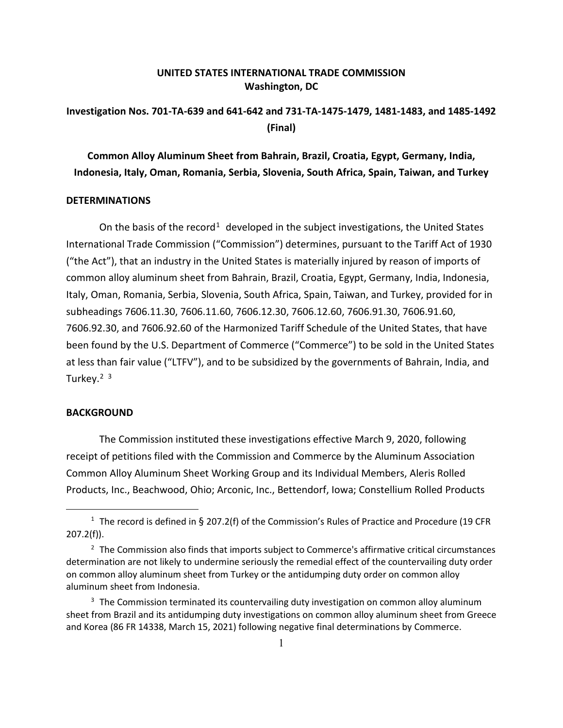## **UNITED STATES INTERNATIONAL TRADE COMMISSION Washington, DC**

## **Investigation Nos. 701-TA-639 and 641-642 and 731-TA-1475-1479, 1481-1483, and 1485-1492 (Final)**

**Common Alloy Aluminum Sheet from Bahrain, Brazil, Croatia, Egypt, Germany, India, Indonesia, Italy, Oman, Romania, Serbia, Slovenia, South Africa, Spain, Taiwan, and Turkey**

## **DETERMINATIONS**

On the basis of the record<sup>[1](#page-0-0)</sup> developed in the subject investigations, the United States International Trade Commission ("Commission") determines, pursuant to the Tariff Act of 1930 ("the Act"), that an industry in the United States is materially injured by reason of imports of common alloy aluminum sheet from Bahrain, Brazil, Croatia, Egypt, Germany, India, Indonesia, Italy, Oman, Romania, Serbia, Slovenia, South Africa, Spain, Taiwan, and Turkey, provided for in subheadings 7606.11.30, 7606.11.60, 7606.12.30, 7606.12.60, 7606.91.30, 7606.91.60, 7606.92.30, and 7606.92.60 of the Harmonized Tariff Schedule of the United States, that have been found by the U.S. Department of Commerce ("Commerce") to be sold in the United States at less than fair value ("LTFV"), and to be subsidized by the governments of Bahrain, India, and Turkey.<sup>[2](#page-0-1) [3](#page-0-2)</sup>

## **BACKGROUND**

The Commission instituted these investigations effective March 9, 2020, following receipt of petitions filed with the Commission and Commerce by the Aluminum Association Common Alloy Aluminum Sheet Working Group and its Individual Members, Aleris Rolled Products, Inc., Beachwood, Ohio; Arconic, Inc., Bettendorf, Iowa; Constellium Rolled Products

<span id="page-0-0"></span><sup>&</sup>lt;sup>1</sup> The record is defined in § 207.2(f) of the Commission's Rules of Practice and Procedure (19 CFR 207.2(f)).

<span id="page-0-1"></span><sup>&</sup>lt;sup>2</sup> The Commission also finds that imports subject to Commerce's affirmative critical circumstances determination are not likely to undermine seriously the remedial effect of the countervailing duty order on common alloy aluminum sheet from Turkey or the antidumping duty order on common alloy aluminum sheet from Indonesia.

<span id="page-0-2"></span><sup>&</sup>lt;sup>3</sup> The Commission terminated its countervailing duty investigation on common alloy aluminum sheet from Brazil and its antidumping duty investigations on common alloy aluminum sheet from Greece and Korea (86 FR 14338, March 15, 2021) following negative final determinations by Commerce.